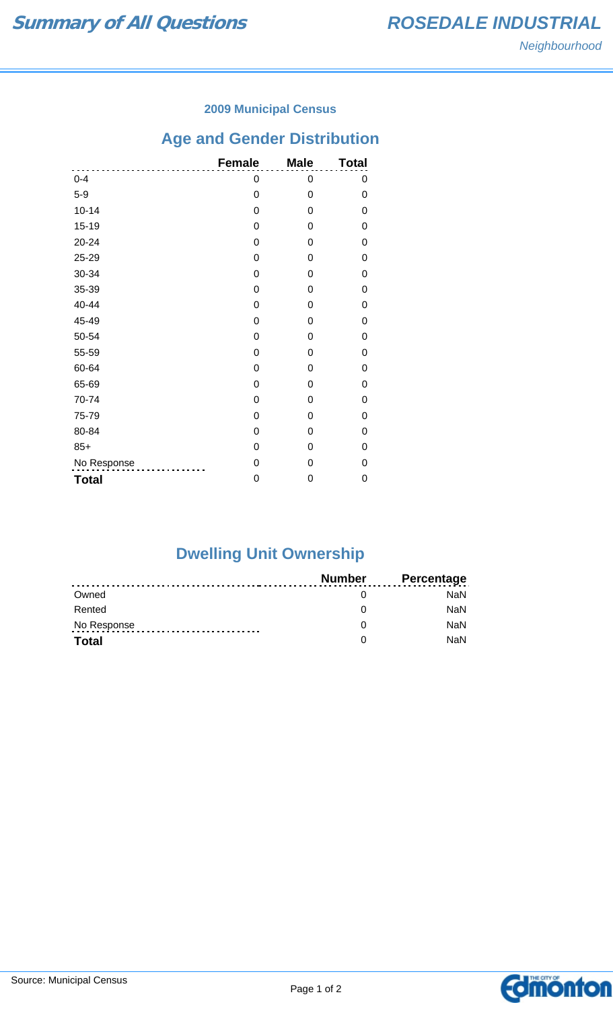### **2009 Municipal Census**

# **Age and Gender Distribution**

|              | <b>Female</b> | <b>Male</b> | <b>Total</b> |
|--------------|---------------|-------------|--------------|
| $0 - 4$      | 0             | 0           | 0            |
| $5-9$        | 0             | 0           | 0            |
| $10 - 14$    | 0             | 0           | 0            |
| $15 - 19$    | 0             | 0           | 0            |
| 20-24        | 0             | 0           | 0            |
| 25-29        | 0             | 0           | 0            |
| 30-34        | 0             | 0           | 0            |
| 35-39        | 0             | 0           | 0            |
| 40-44        | 0             | 0           | 0            |
| 45-49        | 0             | 0           | 0            |
| 50-54        | 0             | 0           | 0            |
| 55-59        | 0             | 0           | 0            |
| 60-64        | 0             | 0           | 0            |
| 65-69        | 0             | 0           | 0            |
| 70-74        | 0             | 0           | 0            |
| 75-79        | 0             | 0           | 0            |
| 80-84        | 0             | 0           | 0            |
| $85+$        | 0             | 0           | 0            |
| No Response  | 0             | 0           | 0            |
| <b>Total</b> | 0             | 0           | 0            |

# **Dwelling Unit Ownership**

|              | Number | <b>Percentage</b> |
|--------------|--------|-------------------|
| Owned        |        | NaN.              |
| Rented       |        | <b>NaN</b>        |
| No Response  |        | <b>NaN</b>        |
| <b>Total</b> |        | <b>NaN</b>        |